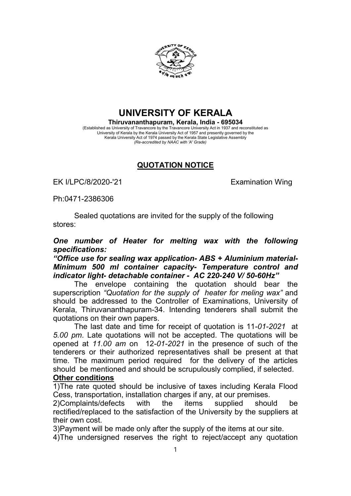

UNIVERSITY OF KERALA

Thiruvananthapuram, Kerala, India - 695034 (Established as University of Travancore by the Travancore University Act in 1937 and reconstituted as University of Kerala by the Kerala University Act of 1957 and presently governed by the Kerala University Act of 1974 passed by the Kerala State Legislative Assembly (Re-accredited by NAAC with 'A' Grade)

## QUOTATION NOTICE

EK I/LPC/8/2020-'21 EXamination Wing

Ph:0471-2386306

Sealed quotations are invited for the supply of the following stores:

## One number of Heater for melting wax with the following specifications:

## "Office use for sealing wax application- ABS + Aluminium material-Minimum 500 ml container capacity- Temperature control and indicator light- detachable container - AC 220-240 V/ 50-60Hz"

The envelope containing the quotation should bear the superscription "Quotation for the supply of heater for meling wax" and should be addressed to the Controller of Examinations, University of Kerala, Thiruvananthapuram-34. Intending tenderers shall submit the quotations on their own papers.

The last date and time for receipt of quotation is 11-01-2021 at 5.00 pm. Late quotations will not be accepted. The quotations will be opened at 11.00 am on 12-01-2021 in the presence of such of the tenderers or their authorized representatives shall be present at that time. The maximum period required for the delivery of the articles should be mentioned and should be scrupulously complied, if selected.

## Other conditions

1)The rate quoted should be inclusive of taxes including Kerala Flood Cess, transportation, installation charges if any, at our premises.

2)Complaints/defects with the items supplied should be rectified/replaced to the satisfaction of the University by the suppliers at their own cost.

3)Payment will be made only after the supply of the items at our site.

4)The undersigned reserves the right to reject/accept any quotation